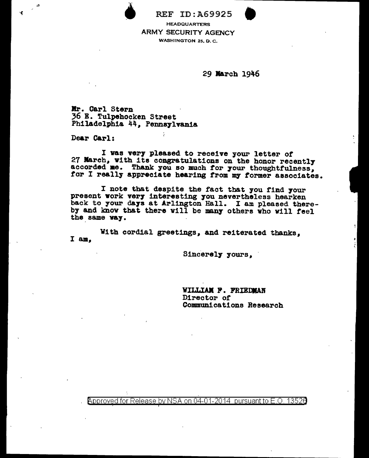REF ID:A69925 **HEADQUARTERS** WASHINGTON 25, D. C.

29 Jl&rch 1946

llr. Carl Stern 36 B. Tulpehocken Street Philadelphia 44, Pennsylvania

 $\tilde{I}$ 

Dear C&rl:

зg

I vas ver7 pleased to receive your letter *ot*  27 Narch, with its congratulations on the honor recently accorded ae. Thank you so much tor 7our thoughtfulness, for I really appreciate hearing from my former associates.

I note that despite the fact that you find your present work very interesting you nevertheless hearken back to your days at Arlington Hall. I am pleased thereby and know that there will be many others who will feel the same vay.

I am, With cordial greetings, and reiterated thanks,

Sincerely yours.

VII.LIAM P. FRIEDMAN Director of Communications Research

 $\beta$ pproved for Release by NSA on 04-01-2014 pursuant to E.O. 1352a